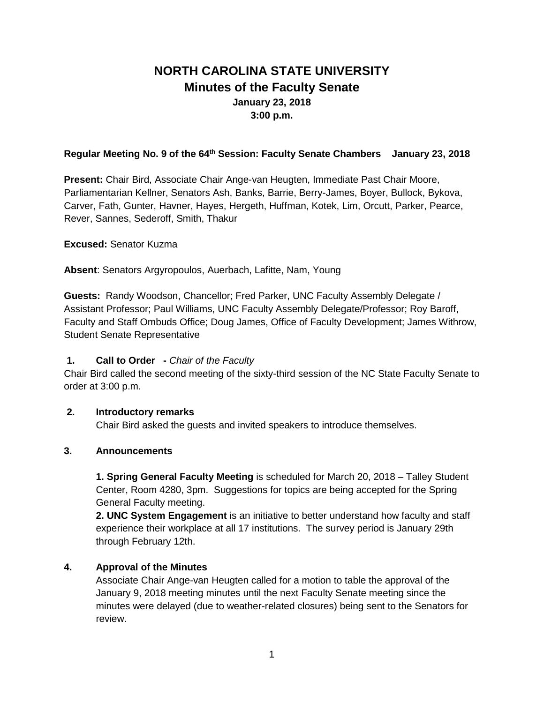# **NORTH CAROLINA STATE UNIVERSITY Minutes of the Faculty Senate January 23, 2018 3:00 p.m.**

#### **Regular Meeting No. 9 of the 64th Session: Faculty Senate Chambers January 23, 2018**

**Present:** Chair Bird, Associate Chair Ange-van Heugten, Immediate Past Chair Moore, Parliamentarian Kellner, Senators Ash, Banks, Barrie, Berry-James, Boyer, Bullock, Bykova, Carver, Fath, Gunter, Havner, Hayes, Hergeth, Huffman, Kotek, Lim, Orcutt, Parker, Pearce, Rever, Sannes, Sederoff, Smith, Thakur

**Excused:** Senator Kuzma

**Absent**: Senators Argyropoulos, Auerbach, Lafitte, Nam, Young

**Guests:** Randy Woodson, Chancellor; Fred Parker, UNC Faculty Assembly Delegate / Assistant Professor; Paul Williams, UNC Faculty Assembly Delegate/Professor; Roy Baroff, Faculty and Staff Ombuds Office; Doug James, Office of Faculty Development; James Withrow, Student Senate Representative

#### **1. Call to Order -** *Chair of the Faculty*

Chair Bird called the second meeting of the sixty-third session of the NC State Faculty Senate to order at 3:00 p.m.

#### **2. Introductory remarks**

Chair Bird asked the guests and invited speakers to introduce themselves.

#### **3. Announcements**

**1. Spring General Faculty Meeting** is scheduled for March 20, 2018 – Talley Student Center, Room 4280, 3pm. Suggestions for topics are being accepted for the Spring General Faculty meeting.

**2. UNC System Engagement** is an initiative to better understand how faculty and staff experience their workplace at all 17 institutions. The survey period is January 29th through February 12th.

#### **4. Approval of the Minutes**

Associate Chair Ange-van Heugten called for a motion to table the approval of the January 9, 2018 meeting minutes until the next Faculty Senate meeting since the minutes were delayed (due to weather-related closures) being sent to the Senators for review.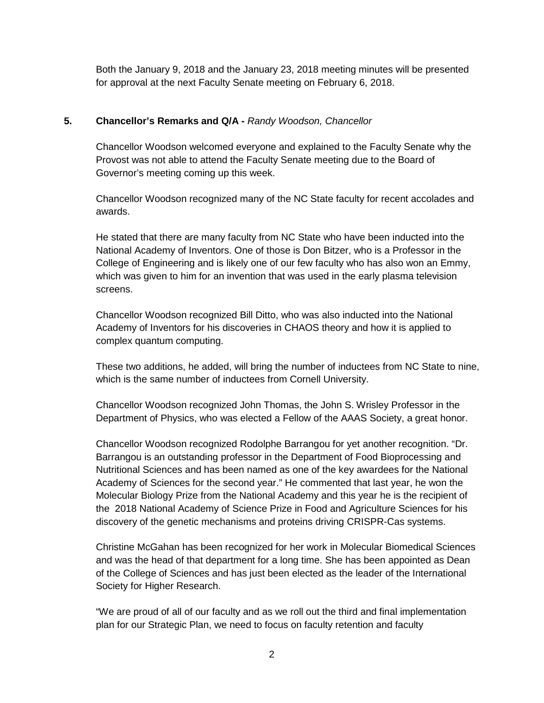Both the January 9, 2018 and the January 23, 2018 meeting minutes will be presented for approval at the next Faculty Senate meeting on February 6, 2018.

#### **5. Chancellor's Remarks and Q/A -** *Randy Woodson, Chancellor*

Chancellor Woodson welcomed everyone and explained to the Faculty Senate why the Provost was not able to attend the Faculty Senate meeting due to the Board of Governor's meeting coming up this week.

Chancellor Woodson recognized many of the NC State faculty for recent accolades and awards.

He stated that there are many faculty from NC State who have been inducted into the National Academy of Inventors. One of those is Don Bitzer, who is a Professor in the College of Engineering and is likely one of our few faculty who has also won an Emmy, which was given to him for an invention that was used in the early plasma television screens.

Chancellor Woodson recognized Bill Ditto, who was also inducted into the National Academy of Inventors for his discoveries in CHAOS theory and how it is applied to complex quantum computing.

These two additions, he added, will bring the number of inductees from NC State to nine, which is the same number of inductees from Cornell University.

Chancellor Woodson recognized John Thomas, the John S. Wrisley Professor in the Department of Physics, who was elected a Fellow of the AAAS Society, a great honor.

Chancellor Woodson recognized Rodolphe Barrangou for yet another recognition. "Dr. Barrangou is an outstanding professor in the Department of Food Bioprocessing and Nutritional Sciences and has been named as one of the key awardees for the National Academy of Sciences for the second year." He commented that last year, he won the Molecular Biology Prize from the National Academy and this year he is the recipient of the 2018 National Academy of Science Prize in Food and Agriculture Sciences for his discovery of the genetic mechanisms and proteins driving CRISPR-Cas systems.

Christine McGahan has been recognized for her work in Molecular Biomedical Sciences and was the head of that department for a long time. She has been appointed as Dean of the College of Sciences and has just been elected as the leader of the International Society for Higher Research.

"We are proud of all of our faculty and as we roll out the third and final implementation plan for our Strategic Plan, we need to focus on faculty retention and faculty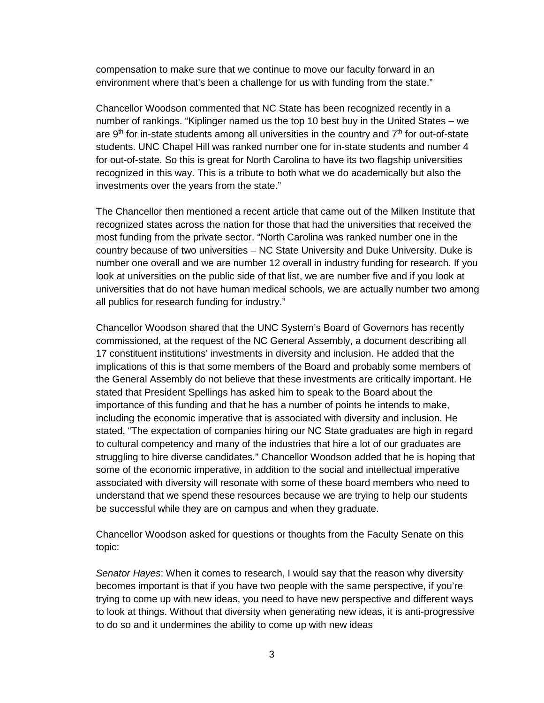compensation to make sure that we continue to move our faculty forward in an environment where that's been a challenge for us with funding from the state."

Chancellor Woodson commented that NC State has been recognized recently in a number of rankings. "Kiplinger named us the top 10 best buy in the United States – we are  $9<sup>th</sup>$  for in-state students among all universities in the country and  $7<sup>th</sup>$  for out-of-state students. UNC Chapel Hill was ranked number one for in-state students and number 4 for out-of-state. So this is great for North Carolina to have its two flagship universities recognized in this way. This is a tribute to both what we do academically but also the investments over the years from the state."

The Chancellor then mentioned a recent article that came out of the Milken Institute that recognized states across the nation for those that had the universities that received the most funding from the private sector. "North Carolina was ranked number one in the country because of two universities – NC State University and Duke University. Duke is number one overall and we are number 12 overall in industry funding for research. If you look at universities on the public side of that list, we are number five and if you look at universities that do not have human medical schools, we are actually number two among all publics for research funding for industry."

Chancellor Woodson shared that the UNC System's Board of Governors has recently commissioned, at the request of the NC General Assembly, a document describing all 17 constituent institutions' investments in diversity and inclusion. He added that the implications of this is that some members of the Board and probably some members of the General Assembly do not believe that these investments are critically important. He stated that President Spellings has asked him to speak to the Board about the importance of this funding and that he has a number of points he intends to make, including the economic imperative that is associated with diversity and inclusion. He stated, "The expectation of companies hiring our NC State graduates are high in regard to cultural competency and many of the industries that hire a lot of our graduates are struggling to hire diverse candidates." Chancellor Woodson added that he is hoping that some of the economic imperative, in addition to the social and intellectual imperative associated with diversity will resonate with some of these board members who need to understand that we spend these resources because we are trying to help our students be successful while they are on campus and when they graduate.

Chancellor Woodson asked for questions or thoughts from the Faculty Senate on this topic:

*Senator Hayes*: When it comes to research, I would say that the reason why diversity becomes important is that if you have two people with the same perspective, if you're trying to come up with new ideas, you need to have new perspective and different ways to look at things. Without that diversity when generating new ideas, it is anti-progressive to do so and it undermines the ability to come up with new ideas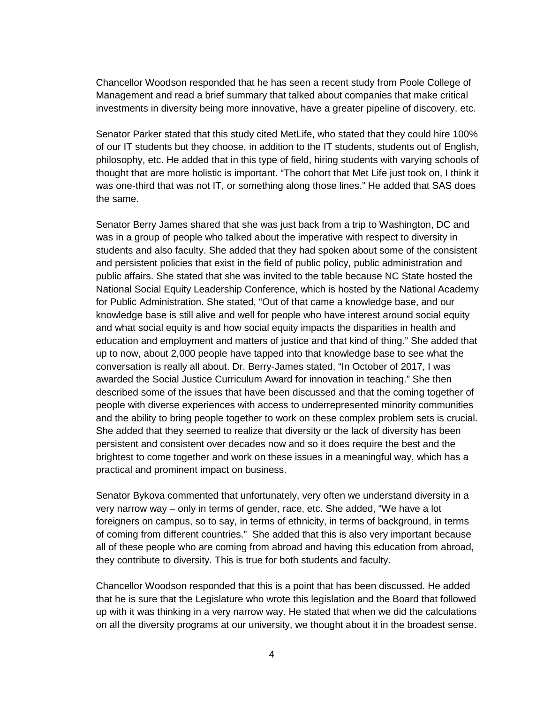Chancellor Woodson responded that he has seen a recent study from Poole College of Management and read a brief summary that talked about companies that make critical investments in diversity being more innovative, have a greater pipeline of discovery, etc.

Senator Parker stated that this study cited MetLife, who stated that they could hire 100% of our IT students but they choose, in addition to the IT students, students out of English, philosophy, etc. He added that in this type of field, hiring students with varying schools of thought that are more holistic is important. "The cohort that Met Life just took on, I think it was one-third that was not IT, or something along those lines." He added that SAS does the same.

Senator Berry James shared that she was just back from a trip to Washington, DC and was in a group of people who talked about the imperative with respect to diversity in students and also faculty. She added that they had spoken about some of the consistent and persistent policies that exist in the field of public policy, public administration and public affairs. She stated that she was invited to the table because NC State hosted the National Social Equity Leadership Conference, which is hosted by the National Academy for Public Administration. She stated, "Out of that came a knowledge base, and our knowledge base is still alive and well for people who have interest around social equity and what social equity is and how social equity impacts the disparities in health and education and employment and matters of justice and that kind of thing." She added that up to now, about 2,000 people have tapped into that knowledge base to see what the conversation is really all about. Dr. Berry-James stated, "In October of 2017, I was awarded the Social Justice Curriculum Award for innovation in teaching." She then described some of the issues that have been discussed and that the coming together of people with diverse experiences with access to underrepresented minority communities and the ability to bring people together to work on these complex problem sets is crucial. She added that they seemed to realize that diversity or the lack of diversity has been persistent and consistent over decades now and so it does require the best and the brightest to come together and work on these issues in a meaningful way, which has a practical and prominent impact on business.

Senator Bykova commented that unfortunately, very often we understand diversity in a very narrow way – only in terms of gender, race, etc. She added, "We have a lot foreigners on campus, so to say, in terms of ethnicity, in terms of background, in terms of coming from different countries." She added that this is also very important because all of these people who are coming from abroad and having this education from abroad, they contribute to diversity. This is true for both students and faculty.

Chancellor Woodson responded that this is a point that has been discussed. He added that he is sure that the Legislature who wrote this legislation and the Board that followed up with it was thinking in a very narrow way. He stated that when we did the calculations on all the diversity programs at our university, we thought about it in the broadest sense.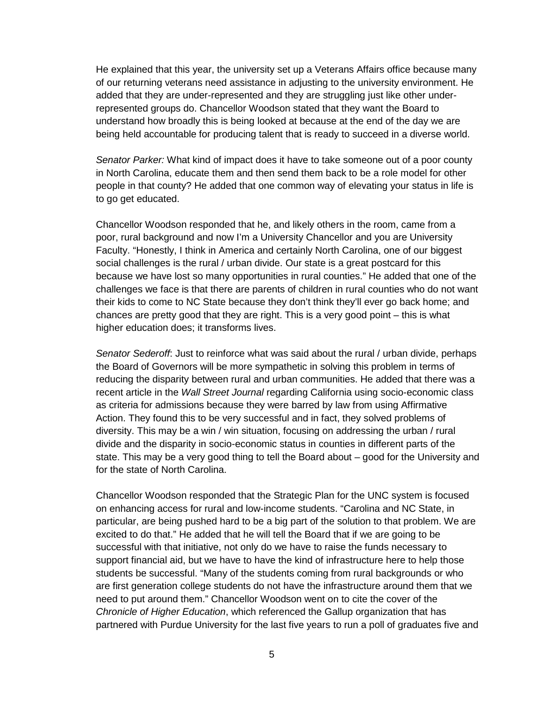He explained that this year, the university set up a Veterans Affairs office because many of our returning veterans need assistance in adjusting to the university environment. He added that they are under-represented and they are struggling just like other underrepresented groups do. Chancellor Woodson stated that they want the Board to understand how broadly this is being looked at because at the end of the day we are being held accountable for producing talent that is ready to succeed in a diverse world.

*Senator Parker:* What kind of impact does it have to take someone out of a poor county in North Carolina, educate them and then send them back to be a role model for other people in that county? He added that one common way of elevating your status in life is to go get educated.

Chancellor Woodson responded that he, and likely others in the room, came from a poor, rural background and now I'm a University Chancellor and you are University Faculty. "Honestly, I think in America and certainly North Carolina, one of our biggest social challenges is the rural / urban divide. Our state is a great postcard for this because we have lost so many opportunities in rural counties." He added that one of the challenges we face is that there are parents of children in rural counties who do not want their kids to come to NC State because they don't think they'll ever go back home; and chances are pretty good that they are right. This is a very good point – this is what higher education does; it transforms lives.

*Senator Sederoff*: Just to reinforce what was said about the rural / urban divide, perhaps the Board of Governors will be more sympathetic in solving this problem in terms of reducing the disparity between rural and urban communities. He added that there was a recent article in the *Wall Street Journal* regarding California using socio-economic class as criteria for admissions because they were barred by law from using Affirmative Action. They found this to be very successful and in fact, they solved problems of diversity. This may be a win / win situation, focusing on addressing the urban / rural divide and the disparity in socio-economic status in counties in different parts of the state. This may be a very good thing to tell the Board about – good for the University and for the state of North Carolina.

Chancellor Woodson responded that the Strategic Plan for the UNC system is focused on enhancing access for rural and low-income students. "Carolina and NC State, in particular, are being pushed hard to be a big part of the solution to that problem. We are excited to do that." He added that he will tell the Board that if we are going to be successful with that initiative, not only do we have to raise the funds necessary to support financial aid, but we have to have the kind of infrastructure here to help those students be successful. "Many of the students coming from rural backgrounds or who are first generation college students do not have the infrastructure around them that we need to put around them." Chancellor Woodson went on to cite the cover of the *Chronicle of Higher Education*, which referenced the Gallup organization that has partnered with Purdue University for the last five years to run a poll of graduates five and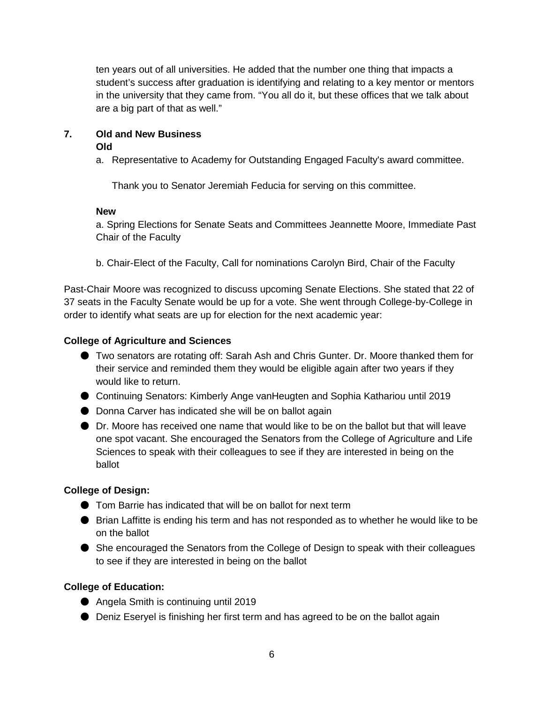ten years out of all universities. He added that the number one thing that impacts a student's success after graduation is identifying and relating to a key mentor or mentors in the university that they came from. "You all do it, but these offices that we talk about are a big part of that as well."

# **7. Old and New Business**

#### **Old**

a. Representative to Academy for Outstanding Engaged Faculty's award committee.

Thank you to Senator Jeremiah Feducia for serving on this committee.

#### **New**

a. Spring Elections for Senate Seats and Committees Jeannette Moore, Immediate Past Chair of the Faculty

b. Chair-Elect of the Faculty, Call for nominations Carolyn Bird, Chair of the Faculty

Past-Chair Moore was recognized to discuss upcoming Senate Elections. She stated that 22 of 37 seats in the Faculty Senate would be up for a vote. She went through College-by-College in order to identify what seats are up for election for the next academic year:

## **College of Agriculture and Sciences**

- Two senators are rotating off: Sarah Ash and Chris Gunter. Dr. Moore thanked them for their service and reminded them they would be eligible again after two years if they would like to return.
- Continuing Senators: Kimberly Ange vanHeugten and Sophia Kathariou until 2019
- Donna Carver has indicated she will be on ballot again
- Dr. Moore has received one name that would like to be on the ballot but that will leave one spot vacant. She encouraged the Senators from the College of Agriculture and Life Sciences to speak with their colleagues to see if they are interested in being on the ballot

# **College of Design:**

- Tom Barrie has indicated that will be on ballot for next term
- Brian Laffitte is ending his term and has not responded as to whether he would like to be on the ballot
- She encouraged the Senators from the College of Design to speak with their colleagues to see if they are interested in being on the ballot

# **College of Education:**

- Angela Smith is continuing until 2019
- Deniz Eseryel is finishing her first term and has agreed to be on the ballot again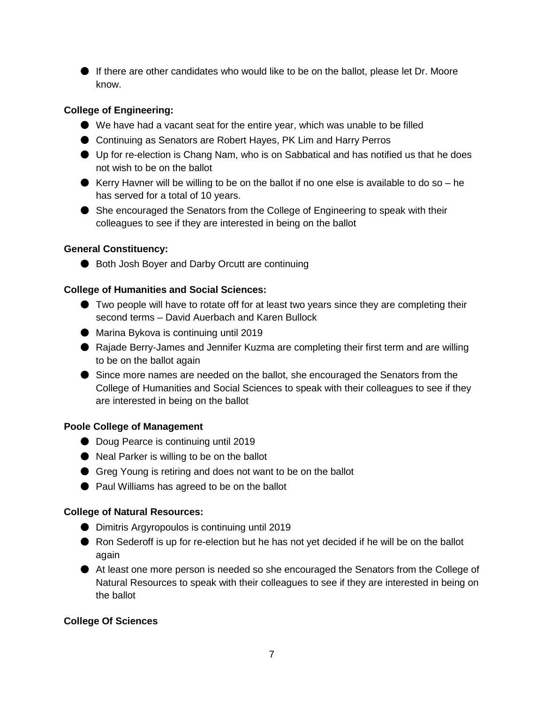● If there are other candidates who would like to be on the ballot, please let Dr. Moore know.

## **College of Engineering:**

- We have had a vacant seat for the entire year, which was unable to be filled
- Continuing as Senators are Robert Hayes, PK Lim and Harry Perros
- Up for re-election is Chang Nam, who is on Sabbatical and has notified us that he does not wish to be on the ballot
- Kerry Havner will be willing to be on the ballot if no one else is available to do so he has served for a total of 10 years.
- She encouraged the Senators from the College of Engineering to speak with their colleagues to see if they are interested in being on the ballot

#### **General Constituency:**

● Both Josh Boyer and Darby Orcutt are continuing

## **College of Humanities and Social Sciences:**

- Two people will have to rotate off for at least two years since they are completing their second terms – David Auerbach and Karen Bullock
- Marina Bykova is continuing until 2019
- Rajade Berry-James and Jennifer Kuzma are completing their first term and are willing to be on the ballot again
- Since more names are needed on the ballot, she encouraged the Senators from the College of Humanities and Social Sciences to speak with their colleagues to see if they are interested in being on the ballot

#### **Poole College of Management**

- Doug Pearce is continuing until 2019
- Neal Parker is willing to be on the ballot
- Greg Young is retiring and does not want to be on the ballot
- Paul Williams has agreed to be on the ballot

#### **College of Natural Resources:**

- Dimitris Argyropoulos is continuing until 2019
- Ron Sederoff is up for re-election but he has not yet decided if he will be on the ballot again
- At least one more person is needed so she encouraged the Senators from the College of Natural Resources to speak with their colleagues to see if they are interested in being on the ballot

#### **College Of Sciences**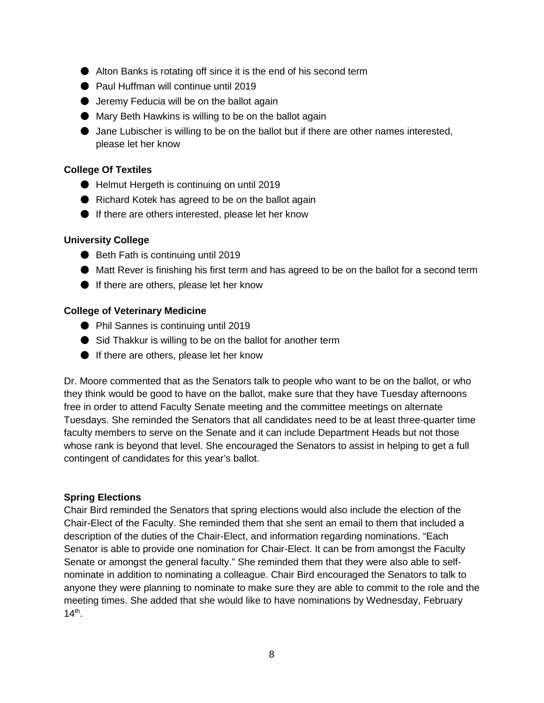- Alton Banks is rotating off since it is the end of his second term
- Paul Huffman will continue until 2019
- Jeremy Feducia will be on the ballot again
- Mary Beth Hawkins is willing to be on the ballot again
- Jane Lubischer is willing to be on the ballot but if there are other names interested, please let her know

#### **College Of Textiles**

- Helmut Hergeth is continuing on until 2019
- Richard Kotek has agreed to be on the ballot again
- If there are others interested, please let her know

#### **University College**

- Beth Fath is continuing until 2019
- Matt Rever is finishing his first term and has agreed to be on the ballot for a second term
- If there are others, please let her know

#### **College of Veterinary Medicine**

- Phil Sannes is continuing until 2019
- Sid Thakkur is willing to be on the ballot for another term
- If there are others, please let her know

Dr. Moore commented that as the Senators talk to people who want to be on the ballot, or who they think would be good to have on the ballot, make sure that they have Tuesday afternoons free in order to attend Faculty Senate meeting and the committee meetings on alternate Tuesdays. She reminded the Senators that all candidates need to be at least three-quarter time faculty members to serve on the Senate and it can include Department Heads but not those whose rank is beyond that level. She encouraged the Senators to assist in helping to get a full contingent of candidates for this year's ballot.

#### **Spring Elections**

Chair Bird reminded the Senators that spring elections would also include the election of the Chair-Elect of the Faculty. She reminded them that she sent an email to them that included a description of the duties of the Chair-Elect, and information regarding nominations. "Each Senator is able to provide one nomination for Chair-Elect. It can be from amongst the Faculty Senate or amongst the general faculty." She reminded them that they were also able to selfnominate in addition to nominating a colleague. Chair Bird encouraged the Senators to talk to anyone they were planning to nominate to make sure they are able to commit to the role and the meeting times. She added that she would like to have nominations by Wednesday, February  $14^{th}$ .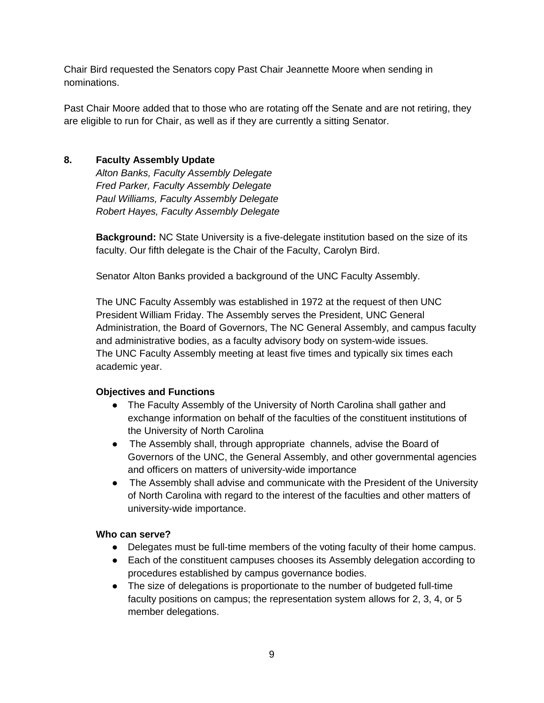Chair Bird requested the Senators copy Past Chair Jeannette Moore when sending in nominations.

Past Chair Moore added that to those who are rotating off the Senate and are not retiring, they are eligible to run for Chair, as well as if they are currently a sitting Senator.

# **8. Faculty Assembly Update**

*Alton Banks, Faculty Assembly Delegate Fred Parker, Faculty Assembly Delegate Paul Williams, Faculty Assembly Delegate Robert Hayes, Faculty Assembly Delegate*

**Background:** NC State University is a five-delegate institution based on the size of its faculty. Our fifth delegate is the Chair of the Faculty, Carolyn Bird.

Senator Alton Banks provided a background of the UNC Faculty Assembly.

The UNC Faculty Assembly was established in 1972 at the request of then UNC President William Friday. The Assembly serves the President, UNC General Administration, the Board of Governors, The NC General Assembly, and campus faculty and administrative bodies, as a faculty advisory body on system-wide issues. The UNC Faculty Assembly meeting at least five times and typically six times each academic year.

# **Objectives and Functions**

- The Faculty Assembly of the University of North Carolina shall gather and exchange information on behalf of the faculties of the constituent institutions of the University of North Carolina
- The Assembly shall, through appropriate channels, advise the Board of Governors of the UNC, the General Assembly, and other governmental agencies and officers on matters of university-wide importance
- The Assembly shall advise and communicate with the President of the University of North Carolina with regard to the interest of the faculties and other matters of university-wide importance.

#### **Who can serve?**

- Delegates must be full-time members of the voting faculty of their home campus.
- Each of the constituent campuses chooses its Assembly delegation according to procedures established by campus governance bodies.
- The size of delegations is proportionate to the number of budgeted full-time faculty positions on campus; the representation system allows for 2, 3, 4, or 5 member delegations.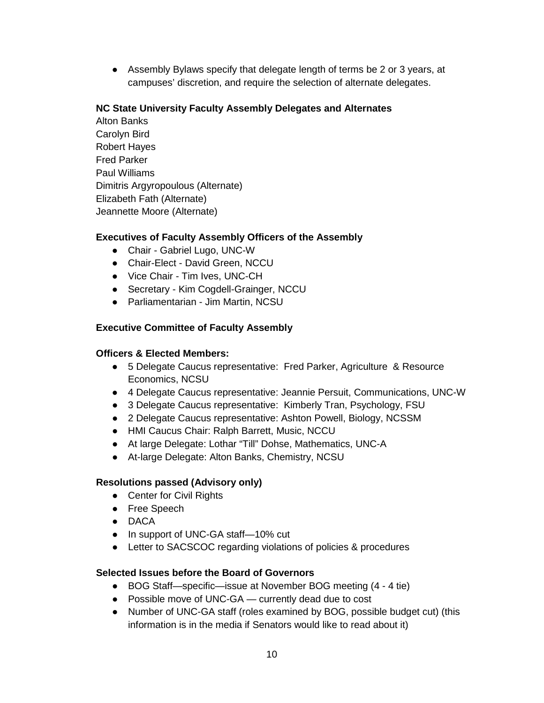● Assembly Bylaws specify that delegate length of terms be 2 or 3 years, at campuses' discretion, and require the selection of alternate delegates.

#### **NC State University Faculty Assembly Delegates and Alternates**

Alton Banks Carolyn Bird Robert Hayes Fred Parker Paul Williams Dimitris Argyropoulous (Alternate) Elizabeth Fath (Alternate) Jeannette Moore (Alternate)

# **Executives of Faculty Assembly Officers of the Assembly**

- Chair Gabriel Lugo, UNC-W
- Chair-Elect David Green, NCCU
- Vice Chair Tim Ives, UNC-CH
- Secretary Kim Cogdell-Grainger, NCCU
- Parliamentarian Jim Martin, NCSU

# **Executive Committee of Faculty Assembly**

#### **Officers & Elected Members:**

- 5 Delegate Caucus representative: Fred Parker, Agriculture & Resource Economics, NCSU
- 4 Delegate Caucus representative: Jeannie Persuit, Communications, UNC-W
- 3 Delegate Caucus representative: Kimberly Tran, Psychology, FSU
- 2 Delegate Caucus representative: Ashton Powell, Biology, NCSSM
- HMI Caucus Chair: Ralph Barrett, Music, NCCU
- At large Delegate: Lothar "Till" Dohse, Mathematics, UNC-A
- At-large Delegate: Alton Banks, Chemistry, NCSU

# **Resolutions passed (Advisory only)**

- Center for Civil Rights
- Free Speech
- DACA
- In support of UNC-GA staff—10% cut
- Letter to SACSCOC regarding violations of policies & procedures

# **Selected Issues before the Board of Governors**

- BOG Staff—specific—issue at November BOG meeting (4 4 tie)
- Possible move of UNC-GA currently dead due to cost
- Number of UNC-GA staff (roles examined by BOG, possible budget cut) (this information is in the media if Senators would like to read about it)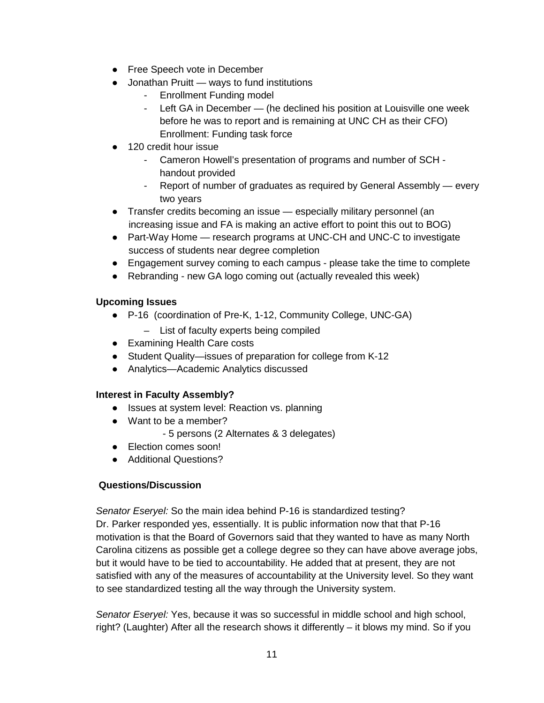- Free Speech vote in December
- Jonathan Pruitt ways to fund institutions
	- Enrollment Funding model
	- Left GA in December (he declined his position at Louisville one week before he was to report and is remaining at UNC CH as their CFO) Enrollment: Funding task force
- 120 credit hour issue
	- Cameron Howell's presentation of programs and number of SCH handout provided
	- Report of number of graduates as required by General Assembly every two years
- Transfer credits becoming an issue especially military personnel (an increasing issue and FA is making an active effort to point this out to BOG)
- Part-Way Home research programs at UNC-CH and UNC-C to investigate success of students near degree completion
- Engagement survey coming to each campus please take the time to complete
- Rebranding new GA logo coming out (actually revealed this week)

# **Upcoming Issues**

- P-16 (coordination of Pre-K, 1-12, Community College, UNC-GA)
	- List of faculty experts being compiled
- Examining Health Care costs
- Student Quality—issues of preparation for college from K-12
- Analytics—Academic Analytics discussed

# **Interest in Faculty Assembly?**

- Issues at system level: Reaction vs. planning
- Want to be a member?
	- 5 persons (2 Alternates & 3 delegates)
- Election comes soon!
- Additional Questions?

# **Questions/Discussion**

*Senator Eseryel:* So the main idea behind P-16 is standardized testing? Dr. Parker responded yes, essentially. It is public information now that that P-16 motivation is that the Board of Governors said that they wanted to have as many North Carolina citizens as possible get a college degree so they can have above average jobs, but it would have to be tied to accountability. He added that at present, they are not satisfied with any of the measures of accountability at the University level. So they want to see standardized testing all the way through the University system.

*Senator Eseryel:* Yes, because it was so successful in middle school and high school, right? (Laughter) After all the research shows it differently – it blows my mind. So if you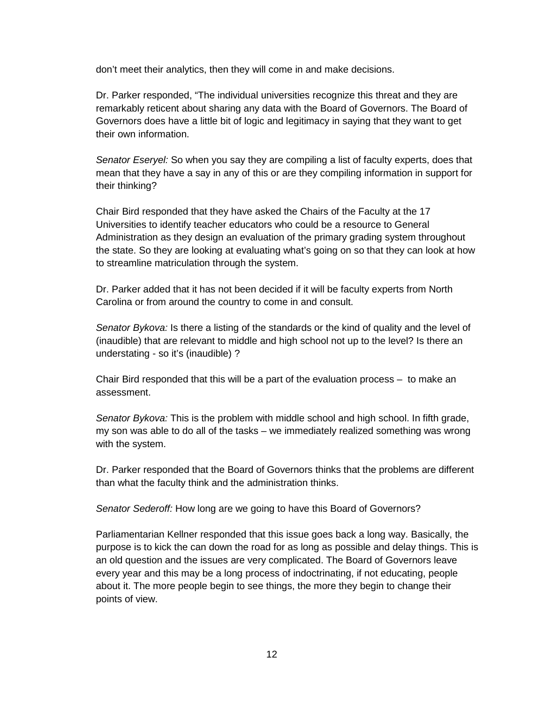don't meet their analytics, then they will come in and make decisions.

Dr. Parker responded, "The individual universities recognize this threat and they are remarkably reticent about sharing any data with the Board of Governors. The Board of Governors does have a little bit of logic and legitimacy in saying that they want to get their own information.

*Senator Eseryel:* So when you say they are compiling a list of faculty experts, does that mean that they have a say in any of this or are they compiling information in support for their thinking?

Chair Bird responded that they have asked the Chairs of the Faculty at the 17 Universities to identify teacher educators who could be a resource to General Administration as they design an evaluation of the primary grading system throughout the state. So they are looking at evaluating what's going on so that they can look at how to streamline matriculation through the system.

Dr. Parker added that it has not been decided if it will be faculty experts from North Carolina or from around the country to come in and consult.

*Senator Bykova:* Is there a listing of the standards or the kind of quality and the level of (inaudible) that are relevant to middle and high school not up to the level? Is there an understating - so it's (inaudible) ?

Chair Bird responded that this will be a part of the evaluation process – to make an assessment.

*Senator Bykova:* This is the problem with middle school and high school. In fifth grade, my son was able to do all of the tasks – we immediately realized something was wrong with the system.

Dr. Parker responded that the Board of Governors thinks that the problems are different than what the faculty think and the administration thinks.

*Senator Sederoff:* How long are we going to have this Board of Governors?

Parliamentarian Kellner responded that this issue goes back a long way. Basically, the purpose is to kick the can down the road for as long as possible and delay things. This is an old question and the issues are very complicated. The Board of Governors leave every year and this may be a long process of indoctrinating, if not educating, people about it. The more people begin to see things, the more they begin to change their points of view.